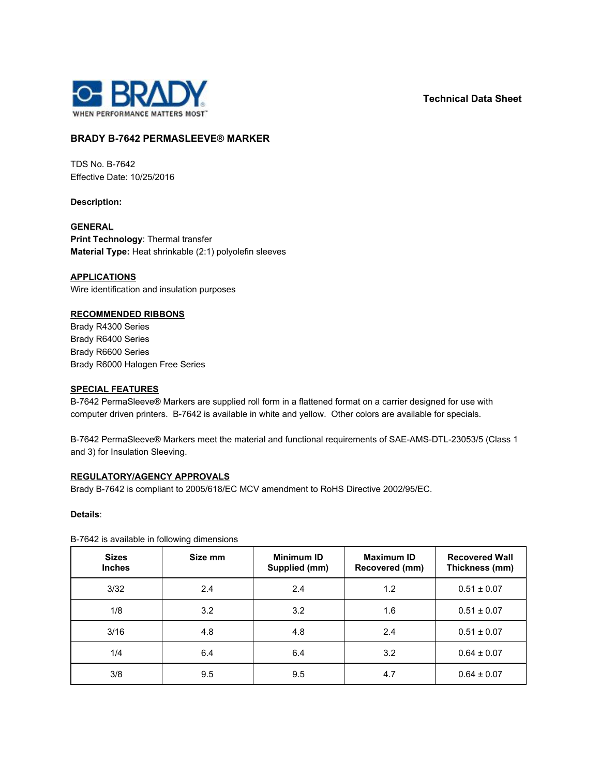**Technical Data Sheet**



# **BRADY B-7642 PERMASLEEVE® MARKER**

TDS No. B-7642 Effective Date: 10/25/2016

**Description:**

## **GENERAL**

**Print Technology**: Thermal transfer **Material Type:** Heat shrinkable (2:1) polyolefin sleeves

**APPLICATIONS**

Wire identification and insulation purposes

## **RECOMMENDED RIBBONS**

Brady R4300 Series Brady R6400 Series Brady R6600 Series Brady R6000 Halogen Free Series

#### **SPECIAL FEATURES**

B-7642 PermaSleeve® Markers are supplied roll form in a flattened format on a carrier designed for use with computer driven printers. B-7642 is available in white and yellow. Other colors are available for specials.

B-7642 PermaSleeve® Markers meet the material and functional requirements of SAE-AMS-DTL-23053/5 (Class 1 and 3) for Insulation Sleeving.

## **REGULATORY/AGENCY APPROVALS**

Brady B-7642 is compliant to 2005/618/EC MCV amendment to RoHS Directive 2002/95/EC.

**Details**:

B-7642 is available in following dimensions

| <b>Sizes</b><br><b>Inches</b> | Size mm | <b>Minimum ID</b><br>Supplied (mm) | <b>Maximum ID</b><br>Recovered (mm) | <b>Recovered Wall</b><br>Thickness (mm) |
|-------------------------------|---------|------------------------------------|-------------------------------------|-----------------------------------------|
| 3/32                          | 2.4     | 2.4                                | 1.2                                 | $0.51 \pm 0.07$                         |
| 1/8                           | 3.2     | 3.2                                | 1.6                                 | $0.51 \pm 0.07$                         |
| 3/16                          | 4.8     | 4.8                                | 2.4                                 | $0.51 \pm 0.07$                         |
| 1/4                           | 6.4     | 6.4                                | 3.2                                 | $0.64 \pm 0.07$                         |
| 3/8                           | 9.5     | 9.5                                | 4.7                                 | $0.64 \pm 0.07$                         |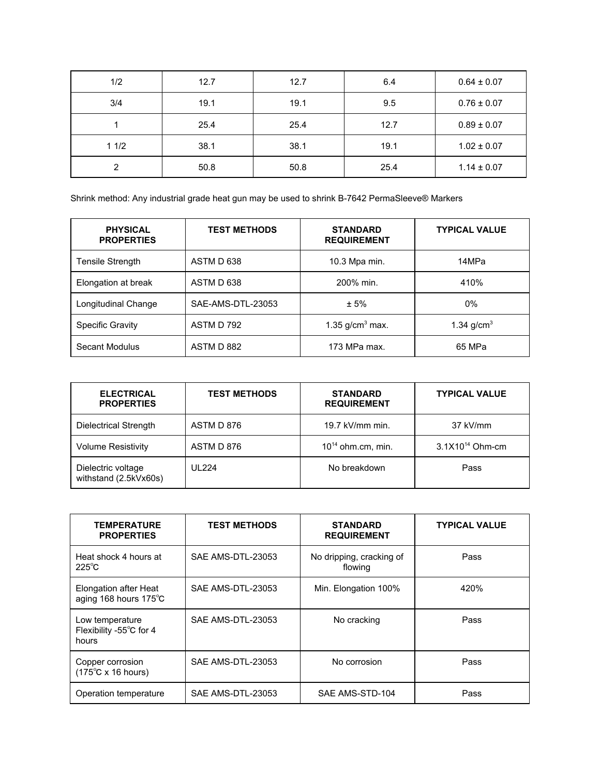| 1/2  | 12.7 | 12.7 | 6.4  | $0.64 \pm 0.07$ |
|------|------|------|------|-----------------|
| 3/4  | 19.1 | 19.1 | 9.5  | $0.76 \pm 0.07$ |
|      | 25.4 | 25.4 | 12.7 | $0.89 \pm 0.07$ |
| 11/2 | 38.1 | 38.1 | 19.1 | $1.02 \pm 0.07$ |
| ົ    | 50.8 | 50.8 | 25.4 | $1.14 \pm 0.07$ |

Shrink method: Any industrial grade heat gun may be used to shrink B-7642 PermaSleeve® Markers

| <b>PHYSICAL</b><br><b>PROPERTIES</b> | <b>TEST METHODS</b> | <b>STANDARD</b><br><b>REQUIREMENT</b> | <b>TYPICAL VALUE</b> |
|--------------------------------------|---------------------|---------------------------------------|----------------------|
| Tensile Strength                     | ASTM D 638          | 10.3 Mpa min.                         | 14MPa                |
| Elongation at break                  | ASTM D 638          | 200% min.                             | 410%                 |
| Longitudinal Change                  | SAE-AMS-DTL-23053   | ± 5%                                  | 0%                   |
| <b>Specific Gravity</b>              | ASTM D 792          | 1.35 $g/cm3$ max.                     | 1.34 $g/cm3$         |
| Secant Modulus                       | ASTM D 882          | 173 MPa max.                          | 65 MPa               |

| <b>ELECTRICAL</b><br><b>PROPERTIES</b>      | <b>TEST METHODS</b> | <b>STANDARD</b><br><b>REQUIREMENT</b> | <b>TYPICAL VALUE</b> |
|---------------------------------------------|---------------------|---------------------------------------|----------------------|
| Dielectrical Strength                       | ASTM D 876          | 19.7 kV/mm min.                       | 37 kV/mm             |
| <b>Volume Resistivity</b>                   | ASTM D 876          | $10^{14}$ ohm.cm, min.                | $3.1X10^{14}$ Ohm-cm |
| Dielectric voltage<br>withstand (2.5kVx60s) | <b>UL224</b>        | No breakdown                          | Pass                 |

| <b>TEMPERATURE</b><br><b>PROPERTIES</b>                      | <b>TEST METHODS</b> | <b>STANDARD</b><br><b>REQUIREMENT</b> | <b>TYPICAL VALUE</b> |
|--------------------------------------------------------------|---------------------|---------------------------------------|----------------------|
| Heat shock 4 hours at<br>$225^{\circ}$ C                     | SAE AMS-DTL-23053   | No dripping, cracking of<br>flowing   | Pass                 |
| Elongation after Heat<br>aging 168 hours 175°C               | SAE AMS-DTL-23053   | Min. Elongation 100%                  | 420%                 |
| Low temperature<br>Flexibility -55°C for 4<br>hours          | SAE AMS-DTL-23053   | No cracking                           | Pass                 |
| Copper corrosion<br>$(175^{\circ}C \times 16 \text{ hours})$ | SAE AMS-DTL-23053   | No corrosion                          | Pass                 |
| Operation temperature                                        | SAE AMS-DTL-23053   | SAE AMS-STD-104                       | Pass                 |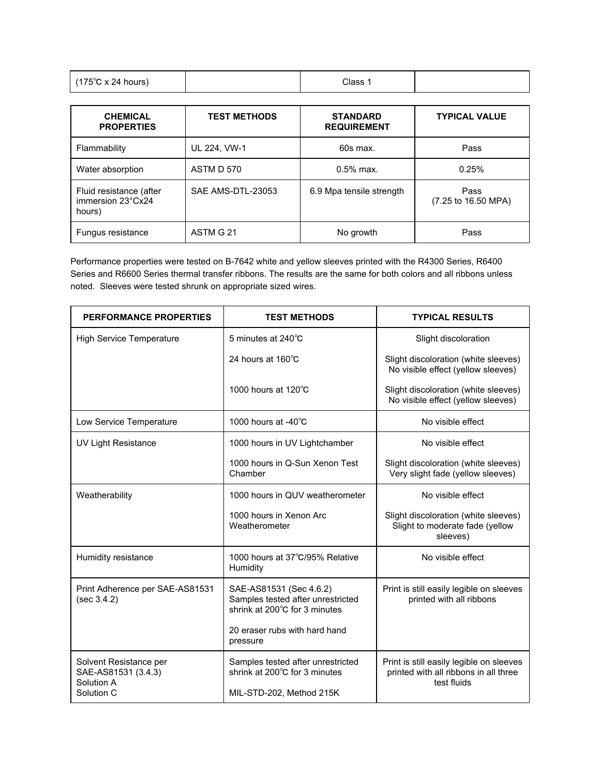| $(175^{\circ}$ C x 24 hours) | Class 1 |  |
|------------------------------|---------|--|
|------------------------------|---------|--|

| <b>CHEMICAL</b><br><b>PROPERTIES</b>                   | <b>TEST METHODS</b> | <b>STANDARD</b><br><b>REQUIREMENT</b> | <b>TYPICAL VALUE</b>        |
|--------------------------------------------------------|---------------------|---------------------------------------|-----------------------------|
| Flammability                                           | UL 224, VW-1        | 60s max.                              | Pass                        |
| Water absorption                                       | ASTM D 570          | $0.5\%$ max.                          | 0.25%                       |
| Fluid resistance (after<br>immersion 23°Cx24<br>hours) | SAE AMS-DTL-23053   | 6.9 Mpa tensile strength              | Pass<br>(7.25 to 16.50 MPA) |
| Fungus resistance                                      | ASTM G 21           | No growth                             | Pass                        |

Performance properties were tested on B-7642 white and yellow sleeves printed with the R4300 Series, R6400 Series and R6600 Series thermal transfer ribbons. The results are the same for both colors and all ribbons unless noted. Sleeves were tested shrunk on appropriate sized wires.

| PERFORMANCE PROPERTIES                                                    | <b>TEST METHODS</b>                                                                            | <b>TYPICAL RESULTS</b>                                                                           |
|---------------------------------------------------------------------------|------------------------------------------------------------------------------------------------|--------------------------------------------------------------------------------------------------|
| <b>High Service Temperature</b>                                           | 5 minutes at 240°C                                                                             | Slight discoloration                                                                             |
|                                                                           | 24 hours at 160°C                                                                              | Slight discoloration (white sleeves)<br>No visible effect (yellow sleeves)                       |
|                                                                           | 1000 hours at $120^{\circ}$ C                                                                  | Slight discoloration (white sleeves)<br>No visible effect (yellow sleeves)                       |
| Low Service Temperature                                                   | 1000 hours at $-40^{\circ}$ C                                                                  | No visible effect                                                                                |
| <b>UV Light Resistance</b>                                                | 1000 hours in UV Lightchamber                                                                  | No visible effect                                                                                |
|                                                                           | 1000 hours in Q-Sun Xenon Test<br>Chamber                                                      | Slight discoloration (white sleeves)<br>Very slight fade (yellow sleeves)                        |
| Weatherability                                                            | 1000 hours in QUV weatherometer                                                                | No visible effect                                                                                |
|                                                                           | 1000 hours in Xenon Arc<br>Weatherometer                                                       | Slight discoloration (white sleeves)<br>Slight to moderate fade (yellow<br>sleeves)              |
| Humidity resistance                                                       | 1000 hours at 37°C/95% Relative<br>Humidity                                                    | No visible effect                                                                                |
| Print Adherence per SAE-AS81531<br>(sec 3.4.2)                            | SAE-AS81531 (Sec 4.6.2)<br>Samples tested after unrestricted<br>shrink at 200°C for 3 minutes  | Print is still easily legible on sleeves<br>printed with all ribbons                             |
|                                                                           | 20 eraser rubs with hard hand<br>pressure                                                      |                                                                                                  |
| Solvent Resistance per<br>SAE-AS81531 (3.4.3)<br>Solution A<br>Solution C | Samples tested after unrestricted<br>shrink at 200°C for 3 minutes<br>MIL-STD-202, Method 215K | Print is still easily legible on sleeves<br>printed with all ribbons in all three<br>test fluids |
|                                                                           |                                                                                                |                                                                                                  |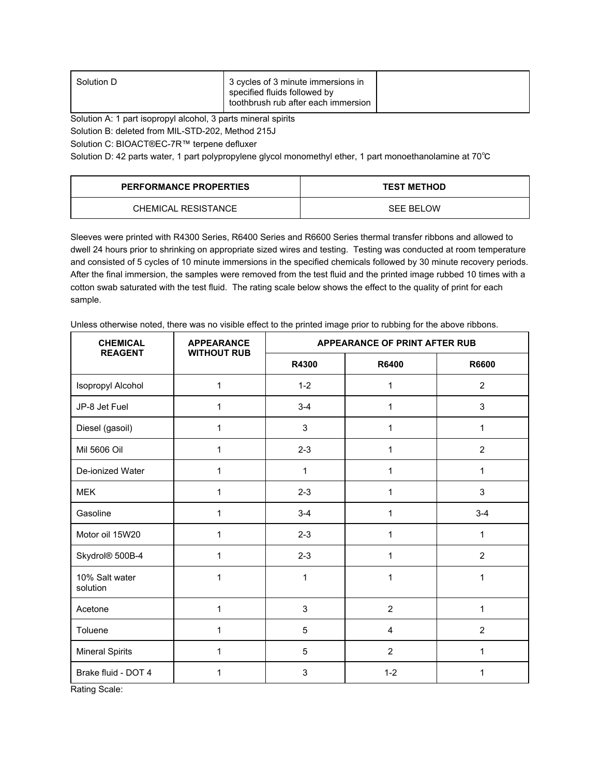| toothbrush rub after each immersion |
|-------------------------------------|
|-------------------------------------|

Solution A: 1 part isopropyl alcohol, 3 parts mineral spirits

Solution B: deleted from MIL-STD-202, Method 215J

Solution C: BIOACT®EC-7R™ terpene defluxer

Solution D: 42 parts water, 1 part polypropylene glycol monomethyl ether, 1 part monoethanolamine at 70℃

| <b>PERFORMANCE PROPERTIES</b> | <b>TEST METHOD</b> |
|-------------------------------|--------------------|
| CHEMICAL RESISTANCE           | <b>SEE BELOW</b>   |

Sleeves were printed with R4300 Series, R6400 Series and R6600 Series thermal transfer ribbons and allowed to dwell 24 hours prior to shrinking on appropriate sized wires and testing. Testing was conducted at room temperature and consisted of 5 cycles of 10 minute immersions in the specified chemicals followed by 30 minute recovery periods. After the final immersion, the samples were removed from the test fluid and the printed image rubbed 10 times with a cotton swab saturated with the test fluid. The rating scale below shows the effect to the quality of print for each sample.

Unless otherwise noted, there was no visible effect to the printed image prior to rubbing for the above ribbons.

| <b>CHEMICAL</b><br><b>REAGENT</b> | <b>APPEARANCE</b><br><b>WITHOUT RUB</b> | APPEARANCE OF PRINT AFTER RUB |                         |                |
|-----------------------------------|-----------------------------------------|-------------------------------|-------------------------|----------------|
|                                   |                                         | R4300                         | R6400                   | <b>R6600</b>   |
| Isopropyl Alcohol                 | 1                                       | $1 - 2$                       | 1                       | $\overline{2}$ |
| JP-8 Jet Fuel                     | 1                                       | $3 - 4$                       | 1                       | 3              |
| Diesel (gasoil)                   | 1                                       | 3                             | 1                       | 1              |
| Mil 5606 Oil                      | 1                                       | $2 - 3$                       | 1                       | $\overline{2}$ |
| De-ionized Water                  | 1                                       | 1                             | 1                       | 1              |
| <b>MEK</b>                        | 1                                       | $2 - 3$                       | 1                       | 3              |
| Gasoline                          | 1                                       | $3 - 4$                       | 1                       | $3 - 4$        |
| Motor oil 15W20                   | 1                                       | $2 - 3$                       | 1                       | 1              |
| Skydrol® 500B-4                   | 1                                       | $2 - 3$                       | 1                       | $\overline{2}$ |
| 10% Salt water<br>solution        | 1                                       | 1                             | 1                       | 1              |
| Acetone                           | 1                                       | 3                             | $\overline{2}$          | 1              |
| Toluene                           | 1                                       | 5                             | $\overline{\mathbf{4}}$ | $\overline{2}$ |
| <b>Mineral Spirits</b>            | 1                                       | 5                             | $\overline{2}$          | 1              |
| Brake fluid - DOT 4               | 1                                       | 3                             | $1 - 2$                 | 1              |

Rating Scale: